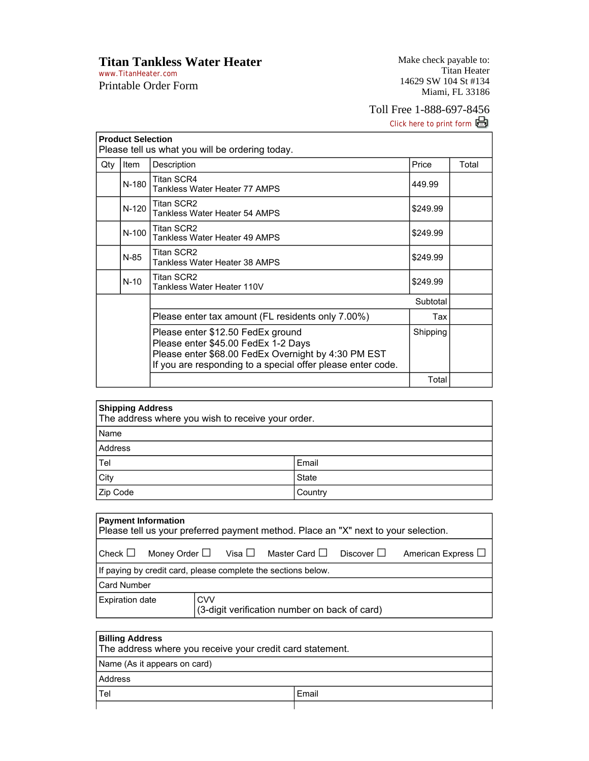**Titan Tankless Water Heater** 

www.TitanHeater.com Printable Order Form Make check payable to: Titan Heater 14629 SW 104 St #134 Miami, FL 33186

## Toll Free 1-888-697-8456

Click here to print form

| <b>Product Selection</b><br>Please tell us what you will be ordering today. |         |                                                                                                                                                                                                |          |       |  |
|-----------------------------------------------------------------------------|---------|------------------------------------------------------------------------------------------------------------------------------------------------------------------------------------------------|----------|-------|--|
| Qty                                                                         | Item    | Description                                                                                                                                                                                    | Price    | Total |  |
|                                                                             | $N-180$ | Titan SCR4<br>Tankless Water Heater 77 AMPS                                                                                                                                                    | 449.99   |       |  |
|                                                                             | $N-120$ | <b>Titan SCR2</b><br>Tankless Water Heater 54 AMPS                                                                                                                                             | \$249.99 |       |  |
|                                                                             | N-100   | Titan SCR2<br>Tankless Water Heater 49 AMPS                                                                                                                                                    | \$249.99 |       |  |
|                                                                             | $N-85$  | Titan SCR2<br>Tankless Water Heater 38 AMPS                                                                                                                                                    | \$249.99 |       |  |
|                                                                             | $N-10$  | Titan SCR2<br>Tankless Water Heater 110V                                                                                                                                                       | \$249.99 |       |  |
|                                                                             |         |                                                                                                                                                                                                | Subtotal |       |  |
|                                                                             |         | Please enter tax amount (FL residents only 7.00%)                                                                                                                                              | Tax      |       |  |
|                                                                             |         | Please enter \$12.50 FedEx ground<br>Please enter \$45.00 FedEx 1-2 Days<br>Please enter \$68.00 FedEx Overnight by 4:30 PM EST<br>If you are responding to a special offer please enter code. | Shipping |       |  |
|                                                                             |         |                                                                                                                                                                                                | Total    |       |  |

| <b>Shipping Address</b><br>The address where you wish to receive your order. |         |  |
|------------------------------------------------------------------------------|---------|--|
| Name                                                                         |         |  |
| Address                                                                      |         |  |
| Tel                                                                          | Email   |  |
| City                                                                         | State   |  |
| Zip Code                                                                     | Country |  |

| <b>Payment Information</b><br>Please tell us your preferred payment method. Place an "X" next to your selection.       |                                                             |  |  |  |  |  |  |  |
|------------------------------------------------------------------------------------------------------------------------|-------------------------------------------------------------|--|--|--|--|--|--|--|
| Money Order $\square$ Visa $\square$ Master Card $\square$<br>Check $\square$<br>Discover ∐<br>American Express $\Box$ |                                                             |  |  |  |  |  |  |  |
| If paying by credit card, please complete the sections below.                                                          |                                                             |  |  |  |  |  |  |  |
| <b>Card Number</b>                                                                                                     |                                                             |  |  |  |  |  |  |  |
| <b>Expiration date</b>                                                                                                 | <b>CVV</b><br>(3-digit verification number on back of card) |  |  |  |  |  |  |  |

|                              | <b>Billing Address</b><br>The address where you receive your credit card statement. |       |  |  |
|------------------------------|-------------------------------------------------------------------------------------|-------|--|--|
| Name (As it appears on card) |                                                                                     |       |  |  |
|                              | Address                                                                             |       |  |  |
|                              | Tel                                                                                 | Email |  |  |
|                              |                                                                                     |       |  |  |